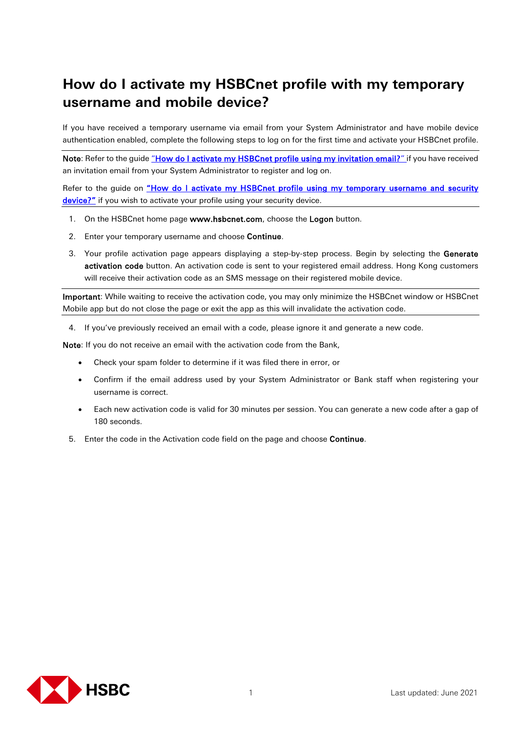## **How do I activate my HSBCnet profile with my temporary username and mobile device?**

If you have received a temporary username via email from your System Administrator and have mobile device authentication enabled, complete the following steps to log on for the first time and activate your HSBCnet profile.

Note: Refer to the guide ["How do I activate my HSBCnet profile using my invitation email?" if](https://www.hsbcnet.com/-/media/hsbcnet/support/qg/gl_636.pdf) you have received an invitation email from your System Administrator to register and log on.

Refer to the guide on "How do I activate my HSBCnet profile using my temporary username and security [device?"](https://www.hsbcnet.com/-/media/hsbcnet/support/qg/gl_635.pdf) if you wish to activate your profile using your security device.

- 1. On the HSBCnet home page www.hsbcnet.com, choose the Logon button.
- 2. Enter your temporary username and choose Continue.
- 3. Your profile activation page appears displaying a step-by-step process. Begin by selecting the Generate activation code button. An activation code is sent to your registered email address. Hong Kong customers will receive their activation code as an SMS message on their registered mobile device.

Important: While waiting to receive the activation code, you may only minimize the HSBCnet window or HSBCnet Mobile app but do not close the page or exit the app as this will invalidate the activation code.

4. If you've previously received an email with a code, please ignore it and generate a new code.

Note: If you do not receive an email with the activation code from the Bank,

- Check your spam folder to determine if it was filed there in error, or
- Confirm if the email address used by your System Administrator or Bank staff when registering your username is correct.
- Each new activation code is valid for 30 minutes per session. You can generate a new code after a gap of 180 seconds.
- 5. Enter the code in the Activation code field on the page and choose Continue.

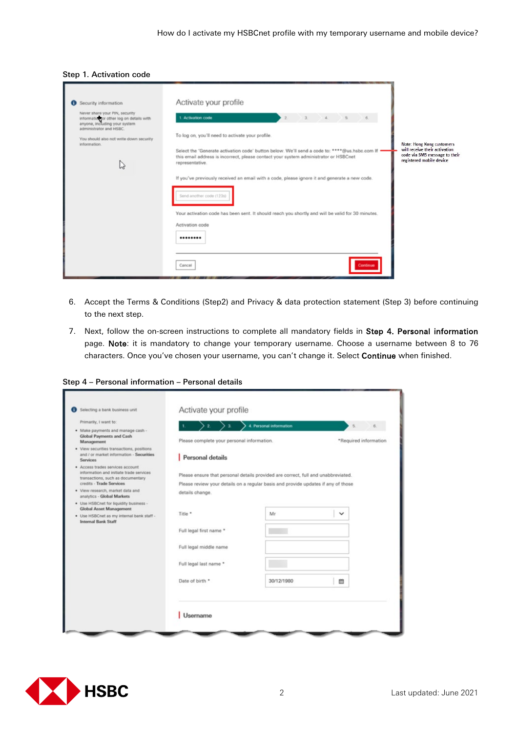## Step 1. Activation code

| Security information                                                                                                                   | Activate your profile                                                                                                                                                                                                                                                                                                                                                                                                                                                                                                                                                                                                                              |
|----------------------------------------------------------------------------------------------------------------------------------------|----------------------------------------------------------------------------------------------------------------------------------------------------------------------------------------------------------------------------------------------------------------------------------------------------------------------------------------------------------------------------------------------------------------------------------------------------------------------------------------------------------------------------------------------------------------------------------------------------------------------------------------------------|
| Never share your PIN, security<br>information or other log on details with<br>anyone, including your system<br>administrator and HSBC. | 3.4.5.<br>1. Activation code<br>$2.$                                                                                                                                                                                                                                                                                                                                                                                                                                                                                                                                                                                                               |
| You should also not write down security<br>information.<br>M                                                                           | To log on, you'll need to activate your profile.<br>Note: Hong Kong customers<br>will receive their activation<br>Select the 'Generate activation code' button below. We'll send a code to: ****@us.hsbc.com If =<br>code via SMS message to their<br>this email address is incorrect, please contact your system administrator or HSBCnet<br>registered mobile device<br>representative.<br>If you've previously received an email with a code, please ignore it and generate a new code.<br>Send another code (123s)<br>Your activation code has been sent. It should reach you shortly and will be valid for 30 minutes.<br>Activation code<br> |
|                                                                                                                                        | Cancel                                                                                                                                                                                                                                                                                                                                                                                                                                                                                                                                                                                                                                             |

- 6. Accept the Terms & Conditions (Step2) and Privacy & data protection statement (Step 3) before continuing to the next step.
- 7. Next, follow the on-screen instructions to complete all mandatory fields in Step 4. Personal information page. Note: it is mandatory to change your temporary username. Choose a username between 8 to 76 characters. Once you've chosen your username, you can't change it. Select Continue when finished.

Step 4 – Personal information – Personal details

| Selecting a bank business unit                                                                                   | Activate your profile                                                             |                         |              |                       |
|------------------------------------------------------------------------------------------------------------------|-----------------------------------------------------------------------------------|-------------------------|--------------|-----------------------|
| Primarily, I want to:                                                                                            | $2 \rightarrow 3$                                                                 | 4. Personal information | 5.           | 6.                    |
| · Make payments and manage cash -<br><b>Global Payments and Cash</b><br>Management                               | Please complete your personal information.                                        |                         |              | *Required information |
| · View securities transactions, positions<br>and / or market information - Securities<br><b>Services</b>         | Personal details                                                                  |                         |              |                       |
| · Access trades services account<br>information and initiate trade services<br>transactions, such as documentary | Please ensure that personal details provided are correct, full and unabbreviated. |                         |              |                       |
| credits - Trade Services                                                                                         | Please review your details on a regular basis and provide updates if any of those |                         |              |                       |
| . View research, market data and<br>analytics - Global Markets                                                   | details change.                                                                   |                         |              |                       |
| · Use HSBCnet for liquidity business -<br><b>Global Asset Management</b>                                         |                                                                                   |                         |              |                       |
| · Use HSBCnet as my internal bank staff -<br><b>Internal Bank Staff</b>                                          | Title *                                                                           | Mr                      | $\checkmark$ |                       |
|                                                                                                                  | Full legal first name *                                                           |                         |              |                       |
|                                                                                                                  | Full legal middle name                                                            |                         |              |                       |
|                                                                                                                  | Full legal last name *                                                            |                         |              |                       |
|                                                                                                                  | Date of birth *                                                                   | 30/12/1980              | 曲            |                       |
|                                                                                                                  | <b>Username</b>                                                                   |                         |              |                       |

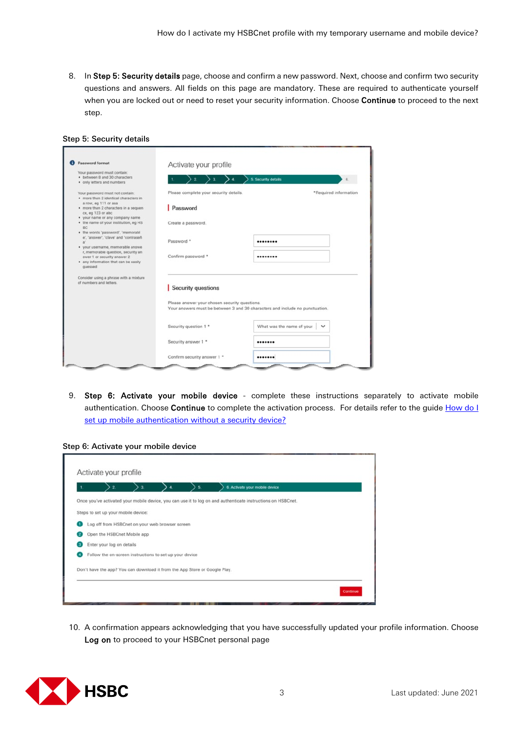8. In Step 5: Security details page, choose and confirm a new password. Next, choose and confirm two security questions and answers. All fields on this page are mandatory. These are required to authenticate yourself when you are locked out or need to reset your security information. Choose Continue to proceed to the next step.

| Password format                                                   | Activate your profile                                                        |                           |                       |  |
|-------------------------------------------------------------------|------------------------------------------------------------------------------|---------------------------|-----------------------|--|
| Your password must contain:                                       |                                                                              |                           |                       |  |
| · between 8 and 30 characters                                     |                                                                              | 5. Security details       | £                     |  |
| · only letters and numbers                                        |                                                                              |                           |                       |  |
| Your password must not contain:                                   | Please complete your security details.                                       |                           | *Required information |  |
| · more than 2 identical characters in                             |                                                                              |                           |                       |  |
| a row, eg 111 or aaa<br>· more than 2 characters in a sequen      | Password                                                                     |                           |                       |  |
| ce, eg 123 or abc                                                 |                                                                              |                           |                       |  |
| . your name or any company name                                   |                                                                              |                           |                       |  |
| . the name of your institution, eg HS                             | Create a password.                                                           |                           |                       |  |
| <b>BC</b><br>· the words 'password', 'memorabl                    |                                                                              |                           |                       |  |
| e', 'answer', 'clave' and 'contraseñ                              |                                                                              |                           |                       |  |
|                                                                   | Password *                                                                   |                           |                       |  |
| · your username, memorable answe                                  |                                                                              |                           |                       |  |
| r, memorable question, security an<br>swer 1 or security answer 2 | Confirm password *                                                           |                           |                       |  |
| . any information that can be easily                              |                                                                              |                           |                       |  |
| quessed                                                           |                                                                              |                           |                       |  |
| Consider using a phrase with a mixture                            |                                                                              |                           |                       |  |
| of numbers and letters.                                           |                                                                              |                           |                       |  |
|                                                                   | Security questions                                                           |                           |                       |  |
|                                                                   |                                                                              |                           |                       |  |
|                                                                   | Please answer your chosen security questions.                                |                           |                       |  |
|                                                                   | Your answers must be between 3 and 30 characters and include no punctuation. |                           |                       |  |
|                                                                   |                                                                              |                           |                       |  |
|                                                                   | Security question 1 *                                                        | What was the name of your | $\check{~}$           |  |
|                                                                   |                                                                              |                           |                       |  |
|                                                                   | Security answer 1 *                                                          |                           |                       |  |
|                                                                   | Confirm security answer 1 *                                                  |                           |                       |  |

Step 5: Security details

9. Step 6: Activate your mobile device - complete these instructions separately to activate mobile authentication. Choose Continue to complete the activation process. For details refer to the guide How do I [set up mobile authentication without](https://www.hsbcnet.com/-/media/hsbcnet/support/qg/gl_627.pdf) a security device?



|                                                                            | з | 5 | 6. Activate your mobile device                                                                               |
|----------------------------------------------------------------------------|---|---|--------------------------------------------------------------------------------------------------------------|
|                                                                            |   |   | Once you've activated your mobile device, you can use it to log on and authenticate instructions on HSBCnet. |
| Steps to set up your mobile device:                                        |   |   |                                                                                                              |
| Log off from HSBCnet on your web browser screen                            |   |   |                                                                                                              |
| Open the HSBCnet Mobile app                                                |   |   |                                                                                                              |
| Enter your log on details                                                  |   |   |                                                                                                              |
| Follow the on-screen instructions to set up your device                    |   |   |                                                                                                              |
| Don't have the app? You can download it from the App Store or Google Play. |   |   |                                                                                                              |
|                                                                            |   |   |                                                                                                              |

10. A confirmation appears acknowledging that you have successfully updated your profile information. Choose Log on to proceed to your HSBCnet personal page